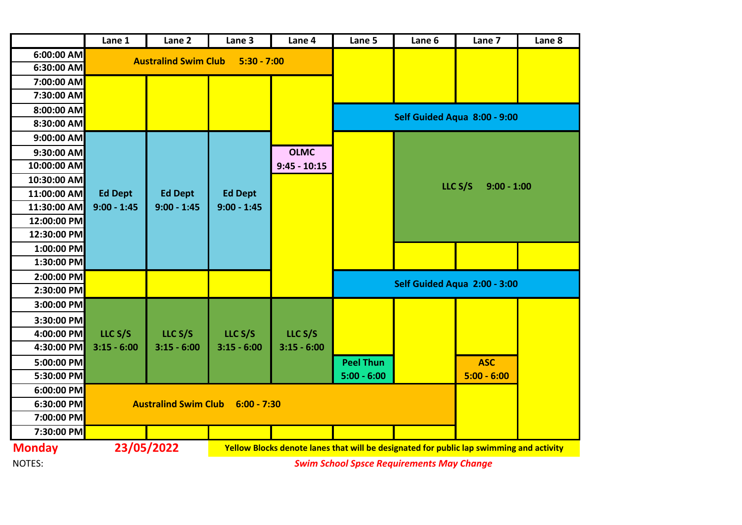NOTES:

|                 | Lane 1         | Lane 2                      | Lane 3                                  | Lane 4         | Lane 5           | Lane 6                                 | Lane 7                                                                                  | Lane <sub>8</sub> |
|-----------------|----------------|-----------------------------|-----------------------------------------|----------------|------------------|----------------------------------------|-----------------------------------------------------------------------------------------|-------------------|
| 6:00:00 AM      |                |                             |                                         |                |                  |                                        |                                                                                         |                   |
| 6:30:00 AM      |                |                             | <b>Australind Swim Club 5:30 - 7:00</b> |                |                  |                                        |                                                                                         |                   |
| 7:00:00 AM      |                |                             |                                         |                |                  |                                        |                                                                                         |                   |
| 7:30:00 AM      |                |                             |                                         |                |                  |                                        |                                                                                         |                   |
| 8:00:00 AM      |                |                             |                                         |                |                  |                                        |                                                                                         |                   |
| 8:30:00 AM      |                |                             |                                         |                |                  |                                        | Self Guided Aqua 8:00 - 9:00                                                            |                   |
| 9:00:00 AM      |                |                             |                                         |                |                  |                                        |                                                                                         |                   |
| 9:30:00 AM      |                |                             |                                         | <b>OLMC</b>    |                  |                                        |                                                                                         |                   |
| 10:00:00 AM     |                |                             |                                         | $9:45 - 10:15$ |                  |                                        |                                                                                         |                   |
| 10:30:00 AM     |                |                             |                                         |                |                  |                                        | LLC S/S<br>$9:00 - 1:00$                                                                |                   |
| 11:00:00 AM     | <b>Ed Dept</b> | <b>Ed Dept</b>              | <b>Ed Dept</b>                          |                |                  |                                        |                                                                                         |                   |
| 11:30:00 AM     | $9:00 - 1:45$  | $9:00 - 1:45$               | $9:00 - 1:45$                           |                |                  |                                        |                                                                                         |                   |
| 12:00:00 PM     |                |                             |                                         |                |                  |                                        |                                                                                         |                   |
| 12:30:00 PM     |                |                             |                                         |                |                  |                                        |                                                                                         |                   |
| 1:00:00 PM      |                |                             |                                         |                |                  |                                        |                                                                                         |                   |
| 1:30:00 PM      |                |                             |                                         |                |                  |                                        |                                                                                         |                   |
| 2:00:00 PM      |                |                             |                                         |                |                  |                                        | Self Guided Aqua 2:00 - 3:00                                                            |                   |
| 2:30:00 PM      |                |                             |                                         |                |                  |                                        |                                                                                         |                   |
| 3:00:00 PM      |                |                             |                                         |                |                  |                                        |                                                                                         |                   |
| 3:30:00 PM      |                |                             |                                         |                |                  |                                        |                                                                                         |                   |
| 4:00:00 PM      | LLC S/S        | LLC S/S                     | LLC S/S                                 | LLC S/S        |                  |                                        |                                                                                         |                   |
| 4:30:00 PM      | $3:15 - 6:00$  | $3:15 - 6:00$               | $3:15 - 6:00$                           | $3:15 - 6:00$  |                  |                                        |                                                                                         |                   |
| 5:00:00 PM      |                |                             |                                         |                | <b>Peel Thun</b> |                                        | <b>ASC</b>                                                                              |                   |
| 5:30:00 PM      |                |                             |                                         |                | $5:00 - 6:00$    |                                        | $5:00 - 6:00$                                                                           |                   |
| 6:00:00 PM      |                |                             |                                         |                |                  |                                        |                                                                                         |                   |
| 6:30:00 PM      |                | <b>Australind Swim Club</b> | $6:00 - 7:30$                           |                |                  |                                        |                                                                                         |                   |
| 7:00:00 PM      |                |                             |                                         |                |                  |                                        |                                                                                         |                   |
| 7:30:00 PM      |                |                             |                                         |                |                  |                                        |                                                                                         |                   |
| <b>Monday</b>   |                | 23/05/2022                  |                                         |                |                  |                                        | Yellow Blocks denote lanes that will be designated for public lap swimming and activity |                   |
| $N\cap T\cap C$ |                |                             |                                         |                |                  | Curing Cabool Cuses Deminements May Ch |                                                                                         |                   |

*Swim School Spsce Requirements May Change*

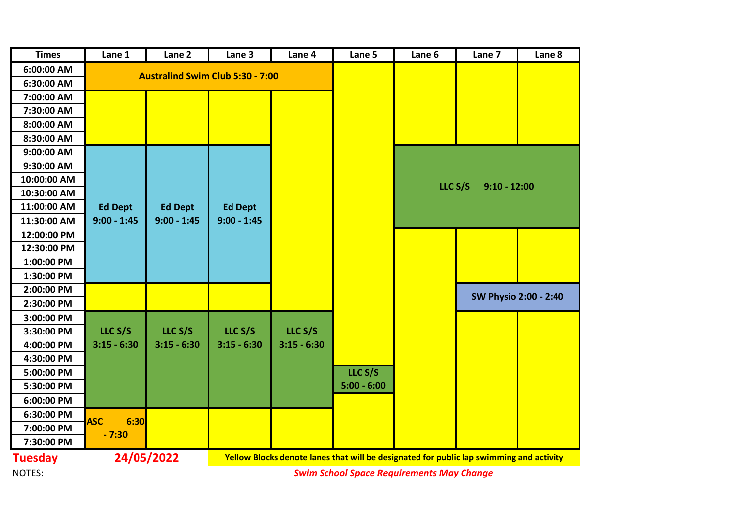| <b>Times</b>   | Lane 1                                           | Lane 2         | Lane 3                                  | Lane 4                                                                                  | Lane 5        | Lane 6 | Lane 7                       | Lane <sub>8</sub> |
|----------------|--------------------------------------------------|----------------|-----------------------------------------|-----------------------------------------------------------------------------------------|---------------|--------|------------------------------|-------------------|
| 6:00:00 AM     |                                                  |                |                                         |                                                                                         |               |        |                              |                   |
| 6:30:00 AM     |                                                  |                | <b>Australind Swim Club 5:30 - 7:00</b> |                                                                                         |               |        |                              |                   |
| 7:00:00 AM     |                                                  |                |                                         |                                                                                         |               |        |                              |                   |
| 7:30:00 AM     |                                                  |                |                                         |                                                                                         |               |        |                              |                   |
| 8:00:00 AM     |                                                  |                |                                         |                                                                                         |               |        |                              |                   |
| 8:30:00 AM     |                                                  |                |                                         |                                                                                         |               |        |                              |                   |
| 9:00:00 AM     |                                                  |                |                                         |                                                                                         |               |        |                              |                   |
| 9:30:00 AM     |                                                  |                |                                         |                                                                                         |               |        |                              |                   |
| 10:00:00 AM    |                                                  |                |                                         |                                                                                         |               |        | LLC S/S<br>$9:10 - 12:00$    |                   |
| 10:30:00 AM    |                                                  |                |                                         |                                                                                         |               |        |                              |                   |
| 11:00:00 AM    | <b>Ed Dept</b>                                   | <b>Ed Dept</b> | <b>Ed Dept</b>                          |                                                                                         |               |        |                              |                   |
| 11:30:00 AM    | $9:00 - 1:45$                                    | $9:00 - 1:45$  | $9:00 - 1:45$                           |                                                                                         |               |        |                              |                   |
| 12:00:00 PM    |                                                  |                |                                         |                                                                                         |               |        |                              |                   |
| 12:30:00 PM    |                                                  |                |                                         |                                                                                         |               |        |                              |                   |
| 1:00:00 PM     |                                                  |                |                                         |                                                                                         |               |        |                              |                   |
| 1:30:00 PM     |                                                  |                |                                         |                                                                                         |               |        |                              |                   |
| 2:00:00 PM     |                                                  |                |                                         |                                                                                         |               |        | <b>SW Physio 2:00 - 2:40</b> |                   |
| 2:30:00 PM     |                                                  |                |                                         |                                                                                         |               |        |                              |                   |
| 3:00:00 PM     |                                                  |                |                                         |                                                                                         |               |        |                              |                   |
| 3:30:00 PM     | LLC S/S                                          | LLC S/S        | LLC S/S                                 | LLC S/S                                                                                 |               |        |                              |                   |
| 4:00:00 PM     | $3:15 - 6:30$                                    | $3:15 - 6:30$  | $3:15 - 6:30$                           | $3:15 - 6:30$                                                                           |               |        |                              |                   |
| 4:30:00 PM     |                                                  |                |                                         |                                                                                         |               |        |                              |                   |
| 5:00:00 PM     |                                                  |                |                                         |                                                                                         | LLC S/S       |        |                              |                   |
| 5:30:00 PM     |                                                  |                |                                         |                                                                                         | $5:00 - 6:00$ |        |                              |                   |
| 6:00:00 PM     |                                                  |                |                                         |                                                                                         |               |        |                              |                   |
| 6:30:00 PM     | 6:30<br><b>ASC</b>                               |                |                                         |                                                                                         |               |        |                              |                   |
| 7:00:00 PM     | $-7:30$                                          |                |                                         |                                                                                         |               |        |                              |                   |
| 7:30:00 PM     |                                                  |                |                                         |                                                                                         |               |        |                              |                   |
| <b>Tuesday</b> |                                                  | 24/05/2022     |                                         | Yellow Blocks denote lanes that will be designated for public lap swimming and activity |               |        |                              |                   |
| <b>NOTES:</b>  | <b>Swim School Space Requirements May Change</b> |                |                                         |                                                                                         |               |        |                              |                   |

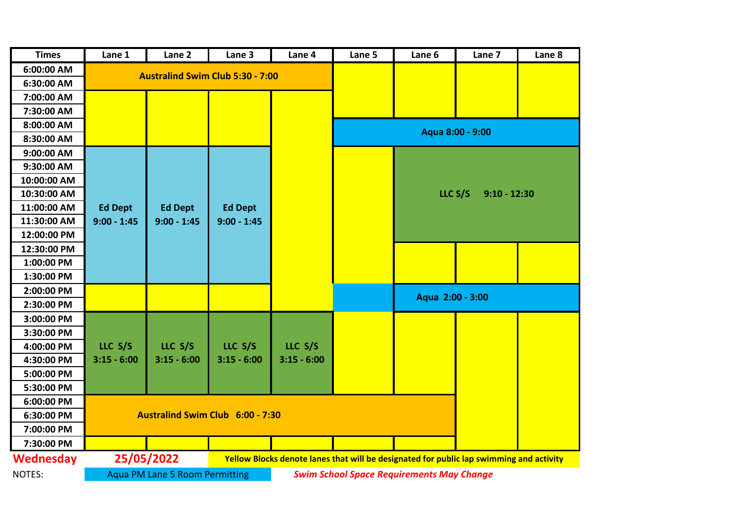| <b>Times</b>     | Lane 1         | Lane 2                                | Lane 3                                  | Lane 4        | Lane 5 | Lane 6                                                                                  | Lane 7                    | Lane 8 |
|------------------|----------------|---------------------------------------|-----------------------------------------|---------------|--------|-----------------------------------------------------------------------------------------|---------------------------|--------|
| 6:00:00 AM       |                |                                       |                                         |               |        |                                                                                         |                           |        |
| 6:30:00 AM       |                |                                       | <b>Australind Swim Club 5:30 - 7:00</b> |               |        |                                                                                         |                           |        |
| 7:00:00 AM       |                |                                       |                                         |               |        |                                                                                         |                           |        |
| 7:30:00 AM       |                |                                       |                                         |               |        |                                                                                         |                           |        |
| 8:00:00 AM       |                |                                       |                                         |               |        |                                                                                         |                           |        |
| 8:30:00 AM       |                |                                       |                                         |               |        |                                                                                         | Aqua 8:00 - 9:00          |        |
| 9:00:00 AM       |                |                                       |                                         |               |        |                                                                                         |                           |        |
| 9:30:00 AM       |                |                                       |                                         |               |        |                                                                                         |                           |        |
| 10:00:00 AM      |                |                                       |                                         |               |        |                                                                                         |                           |        |
| 10:30:00 AM      |                |                                       |                                         |               |        |                                                                                         | LLC S/S<br>$9:10 - 12:30$ |        |
| 11:00:00 AM      | <b>Ed Dept</b> | <b>Ed Dept</b>                        | <b>Ed Dept</b>                          |               |        |                                                                                         |                           |        |
| 11:30:00 AM      | $9:00 - 1:45$  | $9:00 - 1:45$                         | $9:00 - 1:45$                           |               |        |                                                                                         |                           |        |
| 12:00:00 PM      |                |                                       |                                         |               |        |                                                                                         |                           |        |
| 12:30:00 PM      |                |                                       |                                         |               |        |                                                                                         |                           |        |
| 1:00:00 PM       |                |                                       |                                         |               |        |                                                                                         |                           |        |
| 1:30:00 PM       |                |                                       |                                         |               |        |                                                                                         |                           |        |
| 2:00:00 PM       |                |                                       |                                         |               |        | Aqua 2:00 - 3:00                                                                        |                           |        |
| 2:30:00 PM       |                |                                       |                                         |               |        |                                                                                         |                           |        |
| 3:00:00 PM       |                |                                       |                                         |               |        |                                                                                         |                           |        |
| 3:30:00 PM       |                |                                       |                                         |               |        |                                                                                         |                           |        |
| 4:00:00 PM       | LLC S/S        | LLC S/S                               | LLC S/S                                 | LLC S/S       |        |                                                                                         |                           |        |
| 4:30:00 PM       | $3:15 - 6:00$  | $3:15 - 6:00$                         | $3:15 - 6:00$                           | $3:15 - 6:00$ |        |                                                                                         |                           |        |
| 5:00:00 PM       |                |                                       |                                         |               |        |                                                                                         |                           |        |
| 5:30:00 PM       |                |                                       |                                         |               |        |                                                                                         |                           |        |
| 6:00:00 PM       |                |                                       |                                         |               |        |                                                                                         |                           |        |
| 6:30:00 PM       |                |                                       | <b>Australind Swim Club 6:00 - 7:30</b> |               |        |                                                                                         |                           |        |
| 7:00:00 PM       |                |                                       |                                         |               |        |                                                                                         |                           |        |
| 7:30:00 PM       |                |                                       |                                         |               |        |                                                                                         |                           |        |
| <b>Wednesday</b> |                | 25/05/2022                            |                                         |               |        | Yellow Blocks denote lanes that will be designated for public lap swimming and activity |                           |        |
| <b>NOTES:</b>    |                | <b>Aqua PM Lane 5 Room Permitting</b> |                                         |               |        | <b>Swim School Space Requirements May Change</b>                                        |                           |        |

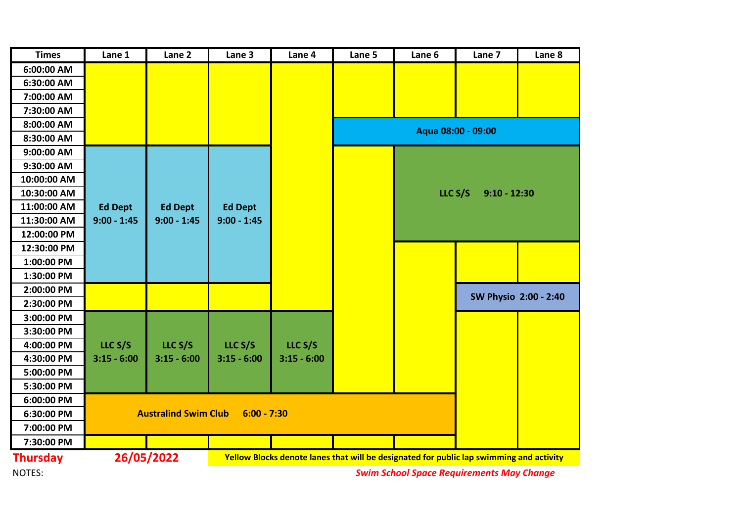| <b>Times</b>    | Lane 1         | Lane 2                      | Lane 3         | Lane 4        | Lane 5 | Lane 6 | Lane 7                                                                                  | Lane 8 |
|-----------------|----------------|-----------------------------|----------------|---------------|--------|--------|-----------------------------------------------------------------------------------------|--------|
| 6:00:00 AM      |                |                             |                |               |        |        |                                                                                         |        |
| 6:30:00 AM      |                |                             |                |               |        |        |                                                                                         |        |
| 7:00:00 AM      |                |                             |                |               |        |        |                                                                                         |        |
| 7:30:00 AM      |                |                             |                |               |        |        |                                                                                         |        |
| 8:00:00 AM      |                |                             |                |               |        |        | Aqua 08:00 - 09:00                                                                      |        |
| 8:30:00 AM      |                |                             |                |               |        |        |                                                                                         |        |
| 9:00:00 AM      |                |                             |                |               |        |        |                                                                                         |        |
| 9:30:00 AM      |                |                             |                |               |        |        |                                                                                         |        |
| 10:00:00 AM     |                |                             |                |               |        |        |                                                                                         |        |
| 10:30:00 AM     |                |                             |                |               |        |        | LLC S/S<br>$9:10 - 12:30$                                                               |        |
| 11:00:00 AM     | <b>Ed Dept</b> | <b>Ed Dept</b>              | <b>Ed Dept</b> |               |        |        |                                                                                         |        |
| 11:30:00 AM     | $9:00 - 1:45$  | $9:00 - 1:45$               | $9:00 - 1:45$  |               |        |        |                                                                                         |        |
| 12:00:00 PM     |                |                             |                |               |        |        |                                                                                         |        |
| 12:30:00 PM     |                |                             |                |               |        |        |                                                                                         |        |
| 1:00:00 PM      |                |                             |                |               |        |        |                                                                                         |        |
| 1:30:00 PM      |                |                             |                |               |        |        |                                                                                         |        |
| 2:00:00 PM      |                |                             |                |               |        |        | SW Physio 2:00 - 2:40                                                                   |        |
| 2:30:00 PM      |                |                             |                |               |        |        |                                                                                         |        |
| 3:00:00 PM      |                |                             |                |               |        |        |                                                                                         |        |
| 3:30:00 PM      |                |                             |                |               |        |        |                                                                                         |        |
| 4:00:00 PM      | LLC S/S        | LLC S/S                     | LLC S/S        | LLC S/S       |        |        |                                                                                         |        |
| 4:30:00 PM      | $3:15 - 6:00$  | $3:15 - 6:00$               | $3:15 - 6:00$  | $3:15 - 6:00$ |        |        |                                                                                         |        |
| 5:00:00 PM      |                |                             |                |               |        |        |                                                                                         |        |
| 5:30:00 PM      |                |                             |                |               |        |        |                                                                                         |        |
| 6:00:00 PM      |                |                             |                |               |        |        |                                                                                         |        |
| 6:30:00 PM      |                | <b>Australind Swim Club</b> | $6:00 - 7:30$  |               |        |        |                                                                                         |        |
| 7:00:00 PM      |                |                             |                |               |        |        |                                                                                         |        |
| 7:30:00 PM      |                |                             |                |               |        |        |                                                                                         |        |
| <b>Thursday</b> |                | 26/05/2022                  |                |               |        |        | Yellow Blocks denote lanes that will be designated for public lap swimming and activity |        |
|                 |                |                             |                |               |        |        |                                                                                         |        |

NOTES:

*Swim School Space Requirements May Change*

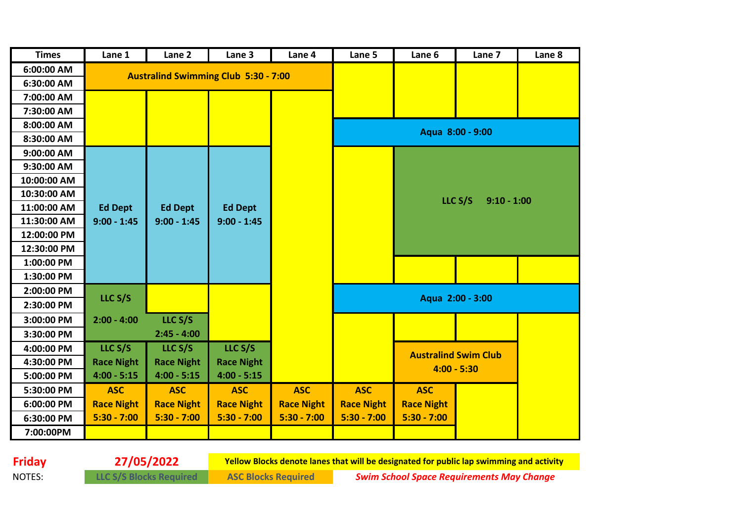**Friday**

| <b>Times</b> | Lane 1            | Lane 2            | Lane 3                                      | Lane 4            | Lane 5            | Lane 6            | Lane 7                      | Lane 8 |
|--------------|-------------------|-------------------|---------------------------------------------|-------------------|-------------------|-------------------|-----------------------------|--------|
| 6:00:00 AM   |                   |                   | <b>Australind Swimming Club 5:30 - 7:00</b> |                   |                   |                   |                             |        |
| 6:30:00 AM   |                   |                   |                                             |                   |                   |                   |                             |        |
| 7:00:00 AM   |                   |                   |                                             |                   |                   |                   |                             |        |
| 7:30:00 AM   |                   |                   |                                             |                   |                   |                   |                             |        |
| 8:00:00 AM   |                   |                   |                                             |                   |                   |                   | Aqua 8:00 - 9:00            |        |
| 8:30:00 AM   |                   |                   |                                             |                   |                   |                   |                             |        |
| 9:00:00 AM   |                   |                   |                                             |                   |                   |                   |                             |        |
| 9:30:00 AM   |                   |                   |                                             |                   |                   |                   |                             |        |
| 10:00:00 AM  |                   |                   |                                             |                   |                   |                   |                             |        |
| 10:30:00 AM  |                   |                   |                                             |                   |                   |                   | LLC S/S<br>$9:10 - 1:00$    |        |
| 11:00:00 AM  | <b>Ed Dept</b>    | <b>Ed Dept</b>    | <b>Ed Dept</b>                              |                   |                   |                   |                             |        |
| 11:30:00 AM  | $9:00 - 1:45$     | $9:00 - 1:45$     | $9:00 - 1:45$                               |                   |                   |                   |                             |        |
| 12:00:00 PM  |                   |                   |                                             |                   |                   |                   |                             |        |
| 12:30:00 PM  |                   |                   |                                             |                   |                   |                   |                             |        |
| 1:00:00 PM   |                   |                   |                                             |                   |                   |                   |                             |        |
| 1:30:00 PM   |                   |                   |                                             |                   |                   |                   |                             |        |
| 2:00:00 PM   | LLC S/S           |                   |                                             |                   |                   |                   | Aqua 2:00 - 3:00            |        |
| 2:30:00 PM   |                   |                   |                                             |                   |                   |                   |                             |        |
| 3:00:00 PM   | $2:00 - 4:00$     | LLC S/S           |                                             |                   |                   |                   |                             |        |
| 3:30:00 PM   |                   | $2:45 - 4:00$     |                                             |                   |                   |                   |                             |        |
| 4:00:00 PM   | LLC S/S           | LLC S/S           | LLC S/S                                     |                   |                   |                   | <b>Australind Swim Club</b> |        |
| 4:30:00 PM   | <b>Race Night</b> | <b>Race Night</b> | <b>Race Night</b>                           |                   |                   |                   | $4:00 - 5:30$               |        |
| 5:00:00 PM   | $4:00 - 5:15$     | $4:00 - 5:15$     | $4:00 - 5:15$                               |                   |                   |                   |                             |        |
| 5:30:00 PM   | <b>ASC</b>        | <b>ASC</b>        | <b>ASC</b>                                  | <b>ASC</b>        | <b>ASC</b>        | <b>ASC</b>        |                             |        |
| 6:00:00 PM   | <b>Race Night</b> | <b>Race Night</b> | <b>Race Night</b>                           | <b>Race Night</b> | <b>Race Night</b> | <b>Race Night</b> |                             |        |
| 6:30:00 PM   | $5:30 - 7:00$     | $5:30 - 7:00$     | $5:30 - 7:00$                               | $5:30 - 7:00$     | $5:30 - 7:00$     | $5:30 - 7:00$     |                             |        |
| 7:00:00PM    |                   |                   |                                             |                   |                   |                   |                             |        |

NOTES: **LLC S/S Blocks Required ASC Blocks Required 27/05/2022 Yellow Blocks denote lanes that will be designated for public lap swimming and activity**

*Swim School Space Requirements May Change*

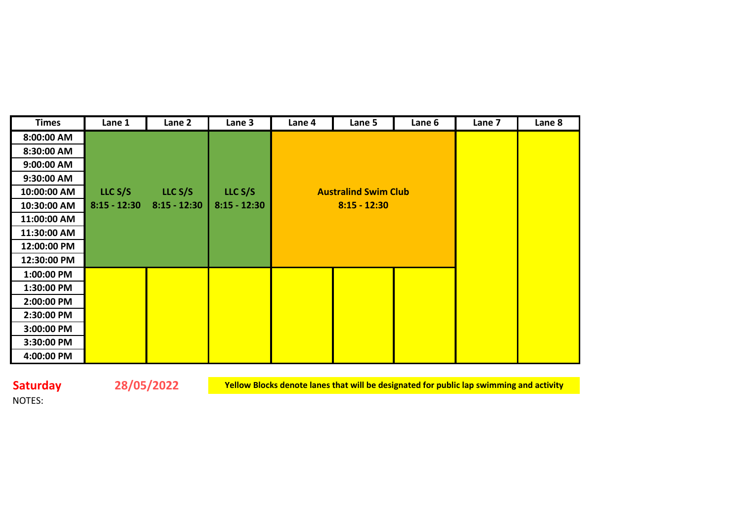| <b>Times</b> | Lane 1         | Lane 2         | Lane 3         | Lane 4 | Lane 5                      | Lane 6 | Lane 7 | Lane <sub>8</sub> |
|--------------|----------------|----------------|----------------|--------|-----------------------------|--------|--------|-------------------|
| 8:00:00 AM   |                |                |                |        |                             |        |        |                   |
| 8:30:00 AM   |                |                |                |        |                             |        |        |                   |
| 9:00:00 AM   |                |                |                |        |                             |        |        |                   |
| 9:30:00 AM   |                |                |                |        |                             |        |        |                   |
| 10:00:00 AM  | LLC S/S        | LLC S/S        | LLC S/S        |        | <b>Australind Swim Club</b> |        |        |                   |
| 10:30:00 AM  | $8:15 - 12:30$ | $8:15 - 12:30$ | $8:15 - 12:30$ |        | $8:15 - 12:30$              |        |        |                   |
| 11:00:00 AM  |                |                |                |        |                             |        |        |                   |
| 11:30:00 AM  |                |                |                |        |                             |        |        |                   |
| 12:00:00 PM  |                |                |                |        |                             |        |        |                   |
| 12:30:00 PM  |                |                |                |        |                             |        |        |                   |
| 1:00:00 PM   |                |                |                |        |                             |        |        |                   |
| 1:30:00 PM   |                |                |                |        |                             |        |        |                   |
| 2:00:00 PM   |                |                |                |        |                             |        |        |                   |
| 2:30:00 PM   |                |                |                |        |                             |        |        |                   |
| 3:00:00 PM   |                |                |                |        |                             |        |        |                   |
| 3:30:00 PM   |                |                |                |        |                             |        |        |                   |
| 4:00:00 PM   |                |                |                |        |                             |        |        |                   |

**Saturday**

NOTES:



**28/05/2022 Yellow Blocks denote lanes that will be designated for public lap swimming and activity**